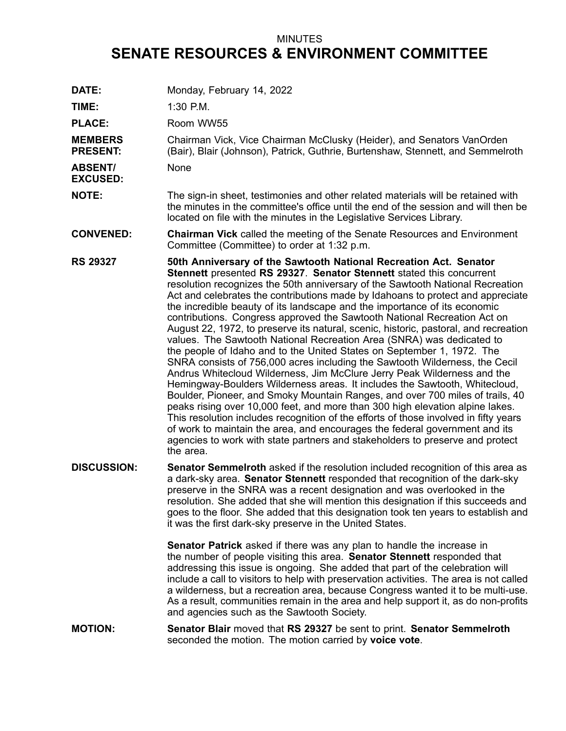## MINUTES **SENATE RESOURCES & ENVIRONMENT COMMITTEE**

**DATE:** Monday, February 14, 2022 **TIME:** 1:30 P.M. PLACE: Room WW55 **MEMBERS PRESENT:** Chairman Vick, Vice Chairman McClusky (Heider), and Senators VanOrden (Bair), Blair (Johnson), Patrick, Guthrie, Burtenshaw, Stennett, and Semmelroth **ABSENT/ EXCUSED:** None **NOTE:** The sign-in sheet, testimonies and other related materials will be retained with the minutes in the committee's office until the end of the session and will then be located on file with the minutes in the Legislative Services Library. **CONVENED: Chairman Vick** called the meeting of the Senate Resources and Environment Committee (Committee) to order at 1:32 p.m. **RS 29327 50th Anniversary of the Sawtooth National Recreation Act. Senator Stennett** presented **RS 29327**. **Senator Stennett** stated this concurrent resolution recognizes the 50th anniversary of the Sawtooth National Recreation Act and celebrates the contributions made by Idahoans to protect and appreciate the incredible beauty of its landscape and the importance of its economic contributions. Congress approved the Sawtooth National Recreation Act on August 22, 1972, to preserve its natural, scenic, historic, pastoral, and recreation values. The Sawtooth National Recreation Area (SNRA) was dedicated to the people of Idaho and to the United States on September 1, 1972. The SNRA consists of 756,000 acres including the Sawtooth Wilderness, the Cecil Andrus Whitecloud Wilderness, Jim McClure Jerry Peak Wilderness and the Hemingway-Boulders Wilderness areas. It includes the Sawtooth, Whitecloud, Boulder, Pioneer, and Smoky Mountain Ranges, and over 700 miles of trails, 40 peaks rising over 10,000 feet, and more than 300 high elevation alpine lakes. This resolution includes recognition of the efforts of those involved in fifty years of work to maintain the area, and encourages the federal government and its agencies to work with state partners and stakeholders to preserve and protect the area. **DISCUSSION: Senator Semmelroth** asked if the resolution included recognition of this area as <sup>a</sup> dark-sky area. **Senator Stennett** responded that recognition of the dark-sky preserve in the SNRA was <sup>a</sup> recent designation and was overlooked in the resolution. She added that she will mention this designation if this succeeds and goes to the floor. She added that this designation took ten years to establish and it was the first dark-sky preserve in the United States. **Senator Patrick** asked if there was any plan to handle the increase in the number of people visiting this area. **Senator Stennett** responded that addressing this issue is ongoing. She added that part of the celebration will include <sup>a</sup> call to visitors to help with preservation activities. The area is not called <sup>a</sup> wilderness, but <sup>a</sup> recreation area, because Congress wanted it to be multi-use. As <sup>a</sup> result, communities remain in the area and help support it, as do non-profits and agencies such as the Sawtooth Society. **MOTION: Senator Blair** moved that **RS 29327** be sent to print. **Senator Semmelroth** seconded the motion. The motion carried by **voice vote**.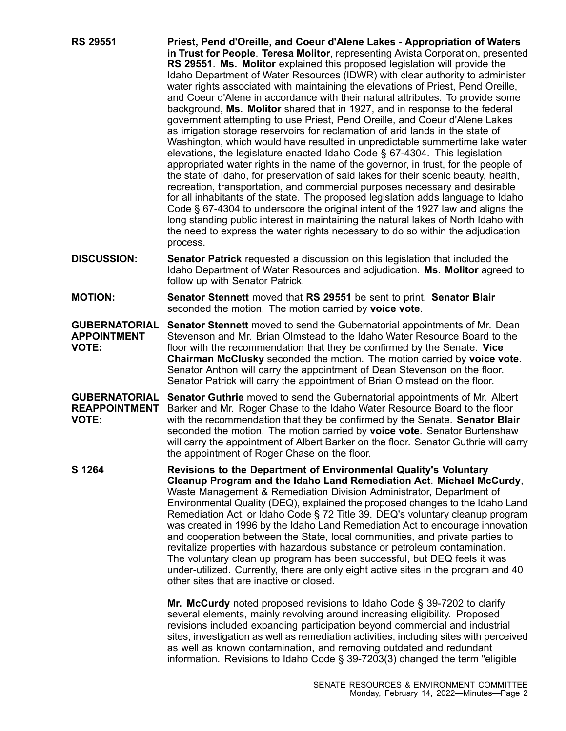- **RS 29551 Priest, Pend d'Oreille, and Coeur d'Alene Lakes - Appropriation of Waters in Trust for People**. **Teresa Molitor**, representing Avista Corporation, presented **RS 29551**. **Ms. Molitor** explained this proposed legislation will provide the Idaho Department of Water Resources (IDWR) with clear authority to administer water rights associated with maintaining the elevations of Priest, Pend Oreille, and Coeur d'Alene in accordance with their natural attributes. To provide some background, **Ms. Molitor** shared that in 1927, and in response to the federal government attempting to use Priest, Pend Oreille, and Coeur d'Alene Lakes as irrigation storage reservoirs for reclamation of arid lands in the state of Washington, which would have resulted in unpredictable summertime lake water elevations, the legislature enacted Idaho Code § 67-4304. This legislation appropriated water rights in the name of the governor, in trust, for the people of the state of Idaho, for preservation of said lakes for their scenic beauty, health, recreation, transportation, and commercial purposes necessary and desirable for all inhabitants of the state. The proposed legislation adds language to Idaho Code § 67-4304 to underscore the original intent of the 1927 law and aligns the long standing public interest in maintaining the natural lakes of North Idaho with the need to express the water rights necessary to do so within the adjudication process.
- **DISCUSSION: Senator Patrick** requested <sup>a</sup> discussion on this legislation that included the Idaho Department of Water Resources and adjudication. **Ms. Molitor** agreed to follow up with Senator Patrick.
- **MOTION: Senator Stennett** moved that **RS 29551** be sent to print. **Senator Blair** seconded the motion. The motion carried by **voice vote**.

**GUBERNATORIAL APPOINTMENT VOTE: Senator Stennett** moved to send the Gubernatorial appointments of Mr. Dean Stevenson and Mr. Brian Olmstead to the Idaho Water Resource Board to the floor with the recommendation that they be confirmed by the Senate. **Vice Chairman McClusky** seconded the motion. The motion carried by **voice vote**. Senator Anthon will carry the appointment of Dean Stevenson on the floor. Senator Patrick will carry the appointment of Brian Olmstead on the floor.

**GUBERNATORIAL Senator Guthrie** moved to send the Gubernatorial appointments of Mr. Albert **REAPPOINTMENT** Barker and Mr. Roger Chase to the Idaho Water Resource Board to the floor **VOTE:** with the recommendation that they be confirmed by the Senate. **Senator Blair** seconded the motion. The motion carried by **voice vote**. Senator Burtenshaw will carry the appointment of Albert Barker on the floor. Senator Guthrie will carry the appointment of Roger Chase on the floor.

**S 1264 Revisions to the Department of Environmental Quality's Voluntary Cleanup Program and the Idaho Land Remediation Act**. **Michael McCurdy**, Waste Management & Remediation Division Administrator, Department of Environmental Quality (DEQ), explained the proposed changes to the Idaho Land Remediation Act, or Idaho Code § 72 Title 39. DEQ's voluntary cleanup program was created in 1996 by the Idaho Land Remediation Act to encourage innovation and cooperation between the State, local communities, and private parties to revitalize properties with hazardous substance or petroleum contamination. The voluntary clean up program has been successful, but DEQ feels it was under-utilized. Currently, there are only eight active sites in the program and 40 other sites that are inactive or closed.

> **Mr. McCurdy** noted proposed revisions to Idaho Code § 39-7202 to clarify several elements, mainly revolving around increasing eligibility. Proposed revisions included expanding participation beyond commercial and industrial sites, investigation as well as remediation activities, including sites with perceived as well as known contamination, and removing outdated and redundant information. Revisions to Idaho Code § 39-7203(3) changed the term "eligible